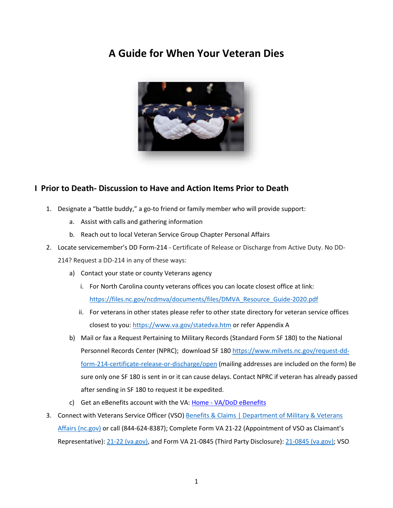# **A Guide for When Your Veteran Dies**



## **I Prior to Death- Discussion to Have and Action Items Prior to Death**

- 1. Designate a "battle buddy," a go-to friend or family member who will provide support:
	- a. Assist with calls and gathering information
	- b. Reach out to local Veteran Service Group Chapter Personal Affairs
- 2. Locate servicemember's DD Form-214 Certificate of Release or Discharge from Active Duty. No DD-214? Request a DD-214 in any of these ways:
	- a) Contact your state or county Veterans agency
		- i. For North Carolina county veterans offices you can locate closest office at link: [https://files.nc.gov/ncdmva/documents/files/DMVA\\_Resource\\_Guide-2020.pdf](https://files.nc.gov/ncdmva/documents/files/DMVA_Resource_Guide-2020.pdf)
		- ii. For veterans in other states please refer to other state directory for veteran service offices closest to you[: https://www.va.gov/statedva.htm](https://www.va.gov/statedva.htm) or refer Appendix A
	- b) Mail or fax a Request Pertaining to Military Records (Standard Form SF 180) to the National Personnel Records Center (NPRC); download SF 180 [https://www.milvets.nc.gov/request-dd](https://www.milvets.nc.gov/request-dd-form-214-certificate-release-or-discharge/open)[form-214-certificate-release-or-discharge/open](https://www.milvets.nc.gov/request-dd-form-214-certificate-release-or-discharge/open) (mailing addresses are included on the form) Be sure only one SF 180 is sent in or it can cause delays. Contact NPRC if veteran has already passed after sending in SF 180 to request it be expedited.
	- c) Get an eBenefits account with the VA: Home [VA/DoD eBenefits](https://www.ebenefits.va.gov/ebenefits/homepage)
- 3. Connect with Veterans Service Officer (VSO) Benefits & Claims | Department of Military & Veterans [Affairs \(nc.gov\)](https://www.milvets.nc.gov/services/benefits-claims) or call (844-624-8387); Complete Form VA 21-22 (Appointment of VSO as Claimant's Representative)[: 21-22 \(va.gov\),](https://www.vba.va.gov/pubs/forms/VBA-21-22-ARE.pdf) and Form VA 21-0845 (Third Party Disclosure): [21-0845 \(va.gov\);](https://www.vba.va.gov/pubs/forms/VBA-21-0845-ARE.pdf) VSO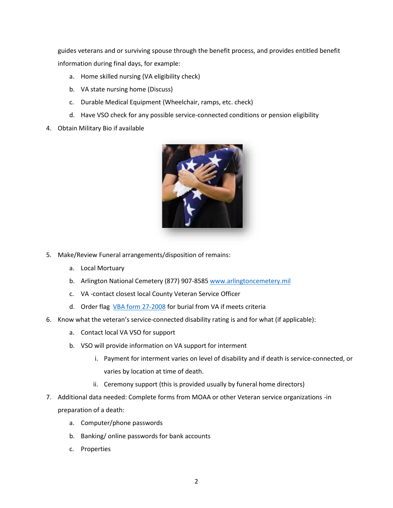guides veterans and or surviving spouse through the benefit process, and provides entitled benefit information during final days, for example:

- a. Home skilled nursing (VA eligibility check)
- b. VA state nursing home (Discuss)
- c. Durable Medical Equipment (Wheelchair, ramps, etc. check)
- d. Have VSO check for any possible service-connected conditions or pension eligibility
- 4. Obtain Military Bio if available



- 5. Make/Review Funeral arrangements/disposition of remains:
	- a. Local Mortuary
	- b. Arlington National Cemetery (877) 907-8585 [www.arlingtoncemetery.mil](http://www.arlingtoncemetery.mil/)
	- c. VA -contact closest local County Veteran Service Officer
	- d. Order flag [VBA form 27-2008](https://www.vba.va.gov/pubs/forms/VBA-27-2008-ARE.pdf) for burial from VA if meets criteria
- 6. Know what the veteran's service-connected disability rating is and for what (if applicable):
	- a. Contact local VA VSO for support
	- b. VSO will provide information on VA support for interment
		- i. Payment for interment varies on level of disability and if death is service-connected, or varies by location at time of death.
		- ii. Ceremony support (this is provided usually by funeral home directors)
- 7. Additional data needed: Complete forms from MOAA or other Veteran service organizations -in preparation of a death:
	- a. Computer/phone passwords
	- b. Banking/ online passwords for bank accounts
	- c. Properties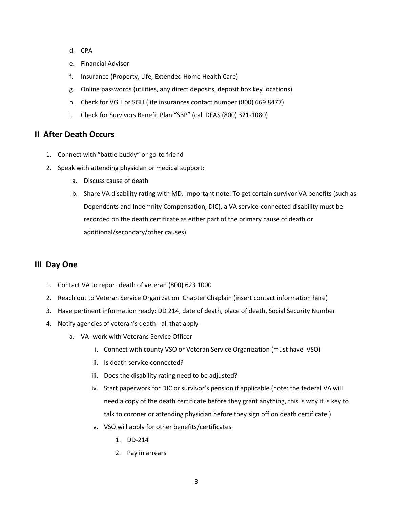- d. CPA
- e. Financial Advisor
- f. Insurance (Property, Life, Extended Home Health Care)
- g. Online passwords (utilities, any direct deposits, deposit box key locations)
- h. Check for VGLI or SGLI (life insurances contact number (800) 669 8477)
- i. Check for Survivors Benefit Plan "SBP" (call DFAS (800) 321-1080)

### **II After Death Occurs**

- 1. Connect with "battle buddy" or go-to friend
- 2. Speak with attending physician or medical support:
	- a. Discuss cause of death
	- b. Share VA disability rating with MD. Important note: To get certain survivor VA benefits (such as Dependents and Indemnity Compensation, DIC), a VA service-connected disability must be recorded on the death certificate as either part of the primary cause of death or additional/secondary/other causes)

#### **III Day One**

- 1. Contact VA to report death of veteran (800) 623 1000
- 2. Reach out to Veteran Service Organization Chapter Chaplain (insert contact information here)
- 3. Have pertinent information ready: DD 214, date of death, place of death, Social Security Number
- 4. Notify agencies of veteran's death all that apply
	- a. VA- work with Veterans Service Officer
		- i. Connect with county VSO or Veteran Service Organization (must have VSO)
		- ii. Is death service connected?
		- iii. Does the disability rating need to be adjusted?
		- iv. Start paperwork for DIC or survivor's pension if applicable (note: the federal VA will need a copy of the death certificate before they grant anything, this is why it is key to talk to coroner or attending physician before they sign off on death certificate.)
		- v. VSO will apply for other benefits/certificates
			- 1. DD-214
			- 2. Pay in arrears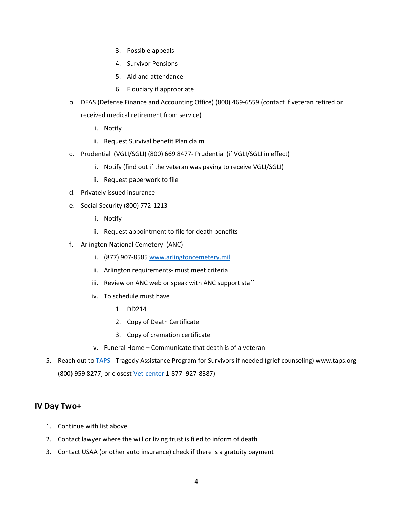- 3. Possible appeals
- 4. Survivor Pensions
- 5. Aid and attendance
- 6. Fiduciary if appropriate
- b. DFAS (Defense Finance and Accounting Office) (800) 469-6559 (contact if veteran retired or received medical retirement from service)
	- i. Notify
	- ii. Request Survival benefit Plan claim
- c. Prudential (VGLI/SGLI) (800) 669 8477- Prudential (if VGLI/SGLI in effect)
	- i. Notify (find out if the veteran was paying to receive VGLI/SGLI)
	- ii. Request paperwork to file
- d. Privately issued insurance
- e. Social Security (800) 772-1213
	- i. Notify
	- ii. Request appointment to file for death benefits
- f. Arlington National Cemetery (ANC)
	- i. (877) 907-8585 [www.arlingtoncemetery.mil](http://www.arlingtoncemetery.mil/)
	- ii. Arlington requirements- must meet criteria
	- iii. Review on ANC web or speak with ANC support staff
	- iv. To schedule must have
		- 1. DD214
		- 2. Copy of Death Certificate
		- 3. Copy of cremation certificate
	- v. Funeral Home Communicate that death is of a veteran
- 5. Reach out to **TAPS** Tragedy Assistance Program for Survivors if needed (grief counseling) www.taps.org (800) 959 8277, or closest [Vet-center](https://www.va.gov/find-locations/?facilityType=vet_center) 1-877- 927-8387)

### **IV Day Two+**

- 1. Continue with list above
- 2. Contact lawyer where the will or living trust is filed to inform of death
- 3. Contact USAA (or other auto insurance) check if there is a gratuity payment